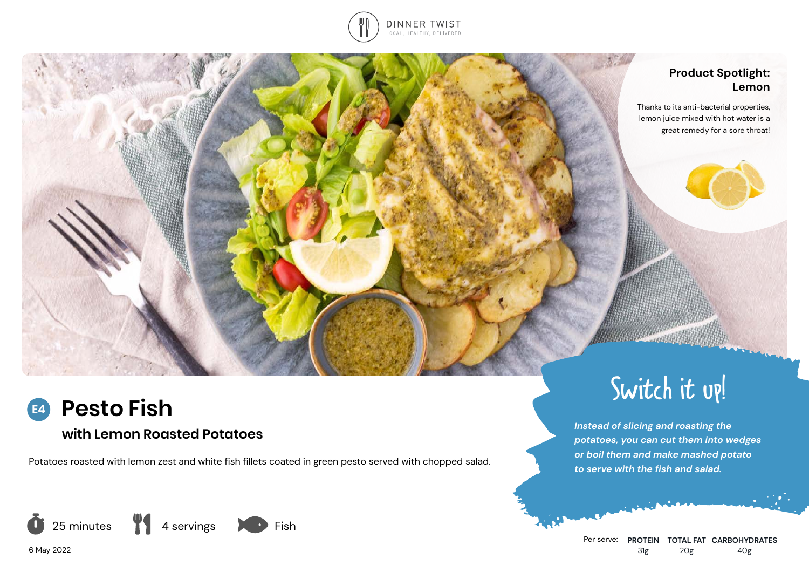

## **Product Spotlight: Lemon**

Thanks to its anti-bacterial properties, lemon juice mixed with hot water is a great remedy for a sore throat!

# **Pesto Fish**

## **with Lemon Roasted Potatoes**

Potatoes roasted with lemon zest and white fish fillets coated in green pesto served with chopped salad.





6 May 2022

**E4**



Switch it up!

*potatoes, you can cut them into wedges or boil them and make mashed potato* 

*Instead of slicing and roasting the* 

*to serve with the fish and salad.*